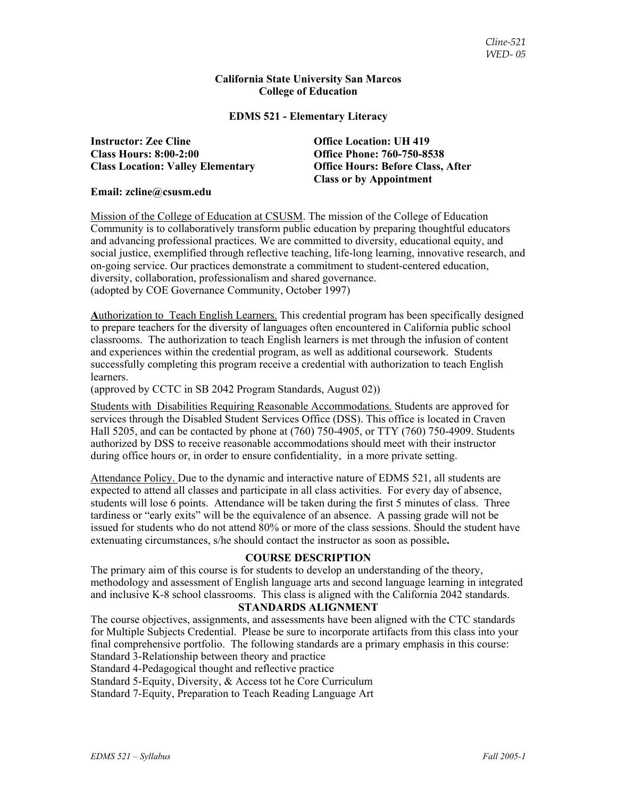## **California State University San Marcos College of Education**

## **EDMS 521 - Elementary Literacy**

**Instructor: Zee Cline Office Location: UH 419 Class Hours: 8:00-2:00 Office Phone: 760-750-8538** 

**Class Location: Valley Elementary Office Hours: Before Class, After Class or by Appointment** 

### **Email: zcline@csusm.edu**

Mission of the College of Education at CSUSM. The mission of the College of Education Community is to collaboratively transform public education by preparing thoughtful educators and advancing professional practices. We are committed to diversity, educational equity, and social justice, exemplified through reflective teaching, life-long learning, innovative research, and on-going service. Our practices demonstrate a commitment to student-centered education, diversity, collaboration, professionalism and shared governance. (adopted by COE Governance Community, October 1997)

**A**uthorization to Teach English Learners. This credential program has been specifically designed to prepare teachers for the diversity of languages often encountered in California public school classrooms. The authorization to teach English learners is met through the infusion of content and experiences within the credential program, as well as additional coursework. Students successfully completing this program receive a credential with authorization to teach English learners.

(approved by CCTC in SB 2042 Program Standards, August 02))

Students with Disabilities Requiring Reasonable Accommodations. Students are approved for services through the Disabled Student Services Office (DSS). This office is located in Craven Hall 5205, and can be contacted by phone at (760) 750-4905, or TTY (760) 750-4909. Students authorized by DSS to receive reasonable accommodations should meet with their instructor during office hours or, in order to ensure confidentiality, in a more private setting.

Attendance Policy. Due to the dynamic and interactive nature of EDMS 521, all students are expected to attend all classes and participate in all class activities. For every day of absence, students will lose 6 points. Attendance will be taken during the first 5 minutes of class. Three tardiness or "early exits" will be the equivalence of an absence. A passing grade will not be issued for students who do not attend 80% or more of the class sessions. Should the student have extenuating circumstances, s/he should contact the instructor as soon as possible**.**

## **COURSE DESCRIPTION**

The primary aim of this course is for students to develop an understanding of the theory, methodology and assessment of English language arts and second language learning in integrated and inclusive K-8 school classrooms. This class is aligned with the California 2042 standards.

#### **STANDARDS ALIGNMENT**

The course objectives, assignments, and assessments have been aligned with the CTC standards for Multiple Subjects Credential. Please be sure to incorporate artifacts from this class into your final comprehensive portfolio. The following standards are a primary emphasis in this course: Standard 3-Relationship between theory and practice

Standard 4-Pedagogical thought and reflective practice

Standard 5-Equity, Diversity, & Access tot he Core Curriculum

Standard 7-Equity, Preparation to Teach Reading Language Art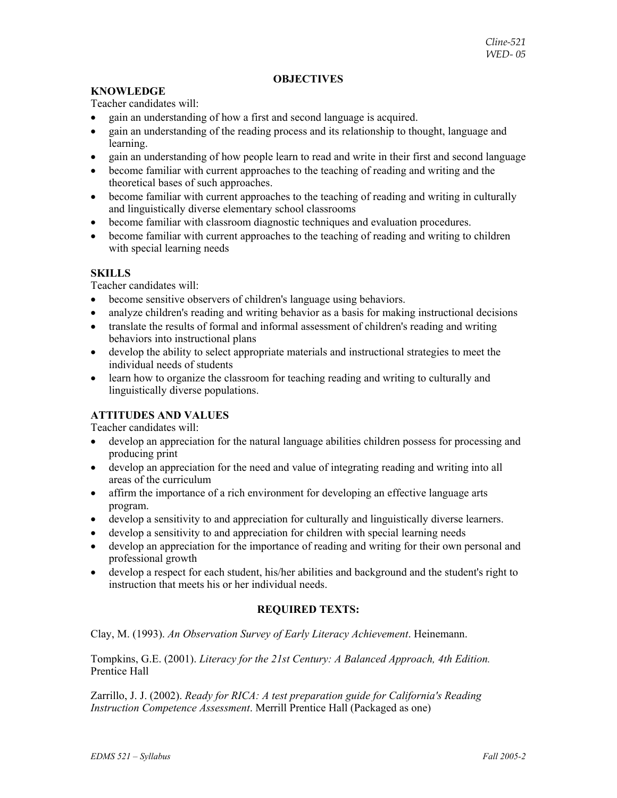## **OBJECTIVES**

## **KNOWLEDGE**

Teacher candidates will:

- gain an understanding of how a first and second language is acquired.
- gain an understanding of the reading process and its relationship to thought, language and learning.
- gain an understanding of how people learn to read and write in their first and second language
- become familiar with current approaches to the teaching of reading and writing and the theoretical bases of such approaches.
- become familiar with current approaches to the teaching of reading and writing in culturally and linguistically diverse elementary school classrooms
- become familiar with classroom diagnostic techniques and evaluation procedures.
- become familiar with current approaches to the teaching of reading and writing to children with special learning needs

## **SKILLS**

Teacher candidates will:

- become sensitive observers of children's language using behaviors.
- analyze children's reading and writing behavior as a basis for making instructional decisions
- translate the results of formal and informal assessment of children's reading and writing behaviors into instructional plans
- develop the ability to select appropriate materials and instructional strategies to meet the individual needs of students
- learn how to organize the classroom for teaching reading and writing to culturally and linguistically diverse populations.

## **ATTITUDES AND VALUES**

Teacher candidates will:

- develop an appreciation for the natural language abilities children possess for processing and producing print
- develop an appreciation for the need and value of integrating reading and writing into all areas of the curriculum
- affirm the importance of a rich environment for developing an effective language arts program.
- develop a sensitivity to and appreciation for culturally and linguistically diverse learners.
- develop a sensitivity to and appreciation for children with special learning needs
- develop an appreciation for the importance of reading and writing for their own personal and professional growth
- develop a respect for each student, his/her abilities and background and the student's right to instruction that meets his or her individual needs.

## **REQUIRED TEXTS:**

Clay, M. (1993). *An Observation Survey of Early Literacy Achievement*. Heinemann.

Tompkins, G.E. (2001). *Literacy for the 21st Century: A Balanced Approach, 4th Edition.* Prentice Hall

Zarrillo, J. J. (2002). *Ready for RICA: A test preparation guide for California's Reading Instruction Competence Assessment*. Merrill Prentice Hall (Packaged as one)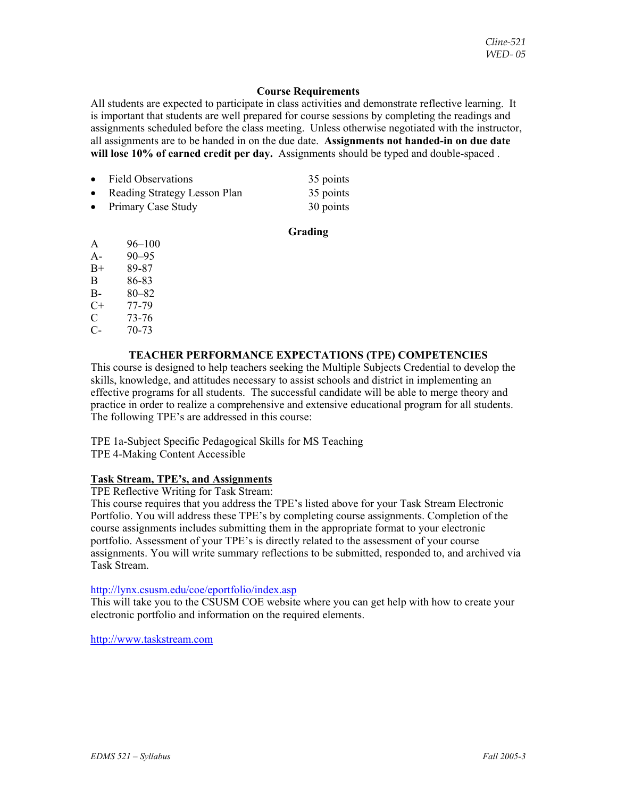## **Course Requirements**

All students are expected to participate in class activities and demonstrate reflective learning. It is important that students are well prepared for course sessions by completing the readings and assignments scheduled before the class meeting. Unless otherwise negotiated with the instructor, all assignments are to be handed in on the due date. **Assignments not handed-in on due date will lose 10% of earned credit per day.** Assignments should be typed and double-spaced .

| • Field Observations           | 35 points |
|--------------------------------|-----------|
| • Reading Strategy Lesson Plan | 35 points |
| • Primary Case Study           | 30 points |

## **Grading**

- A 96–100 A- 90–95
- B+ 89-87
- B 86-83
- B- 80–82
- C+ 77-79
- $\begin{array}{cc} \text{C} & 73-76 \\ \text{C} & 70-73 \end{array}$
- $70 73$

## **TEACHER PERFORMANCE EXPECTATIONS (TPE) COMPETENCIES**

This course is designed to help teachers seeking the Multiple Subjects Credential to develop the skills, knowledge, and attitudes necessary to assist schools and district in implementing an effective programs for all students. The successful candidate will be able to merge theory and practice in order to realize a comprehensive and extensive educational program for all students. The following TPE's are addressed in this course:

TPE 1a-Subject Specific Pedagogical Skills for MS Teaching TPE 4-Making Content Accessible

## **Task Stream, TPE's, and Assignments**

TPE Reflective Writing for Task Stream:

This course requires that you address the TPE's listed above for your Task Stream Electronic Portfolio. You will address these TPE's by completing course assignments. Completion of the course assignments includes submitting them in the appropriate format to your electronic portfolio. Assessment of your TPE's is directly related to the assessment of your course assignments. You will write summary reflections to be submitted, responded to, and archived via Task Stream.

## http://lynx.csusm.edu/coe/eportfolio/index.asp

This will take you to the CSUSM COE website where you can get help with how to create your electronic portfolio and information on the required elements.

http://www.taskstream.com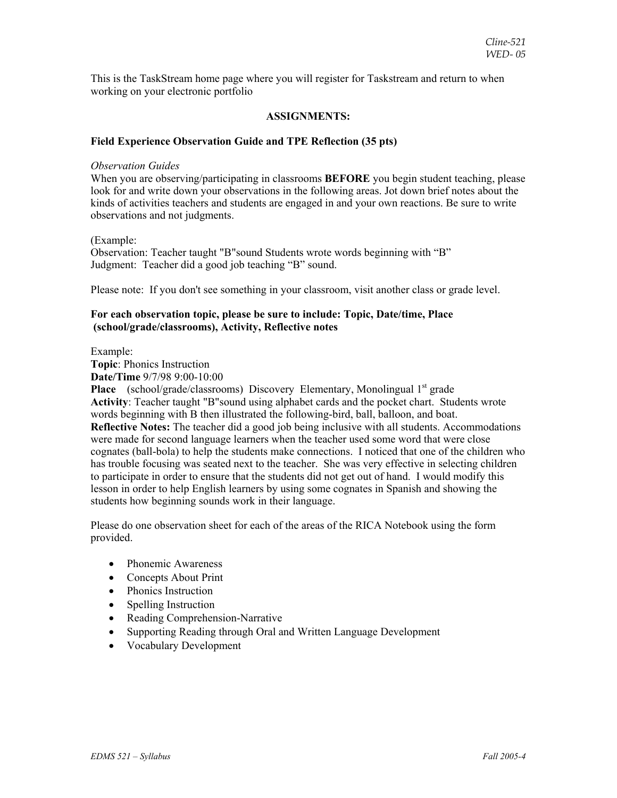This is the TaskStream home page where you will register for Taskstream and return to when working on your electronic portfolio

## **ASSIGNMENTS:**

### **Field Experience Observation Guide and TPE Reflection (35 pts)**

#### *Observation Guides*

When you are observing/participating in classrooms **BEFORE** you begin student teaching, please look for and write down your observations in the following areas. Jot down brief notes about the kinds of activities teachers and students are engaged in and your own reactions. Be sure to write observations and not judgments.

(Example:

Observation: Teacher taught "B"sound Students wrote words beginning with "B" Judgment: Teacher did a good job teaching "B" sound.

Please note: If you don't see something in your classroom, visit another class or grade level.

### **For each observation topic, please be sure to include: Topic, Date/time, Place (school/grade/classrooms), Activity, Reflective notes**

Example:

**Topic**: Phonics Instruction **Date/Time** 9/7/98 9:00-10:00

**Place** (school/grade/classrooms) Discovery Elementary, Monolingual 1<sup>st</sup> grade **Activity**: Teacher taught "B"sound using alphabet cards and the pocket chart. Students wrote words beginning with B then illustrated the following-bird, ball, balloon, and boat. **Reflective Notes:** The teacher did a good job being inclusive with all students. Accommodations were made for second language learners when the teacher used some word that were close cognates (ball-bola) to help the students make connections. I noticed that one of the children who has trouble focusing was seated next to the teacher. She was very effective in selecting children to participate in order to ensure that the students did not get out of hand. I would modify this lesson in order to help English learners by using some cognates in Spanish and showing the students how beginning sounds work in their language.

Please do one observation sheet for each of the areas of the RICA Notebook using the form provided.

- Phonemic Awareness
- Concepts About Print
- Phonics Instruction
- Spelling Instruction
- Reading Comprehension-Narrative
- Supporting Reading through Oral and Written Language Development
- Vocabulary Development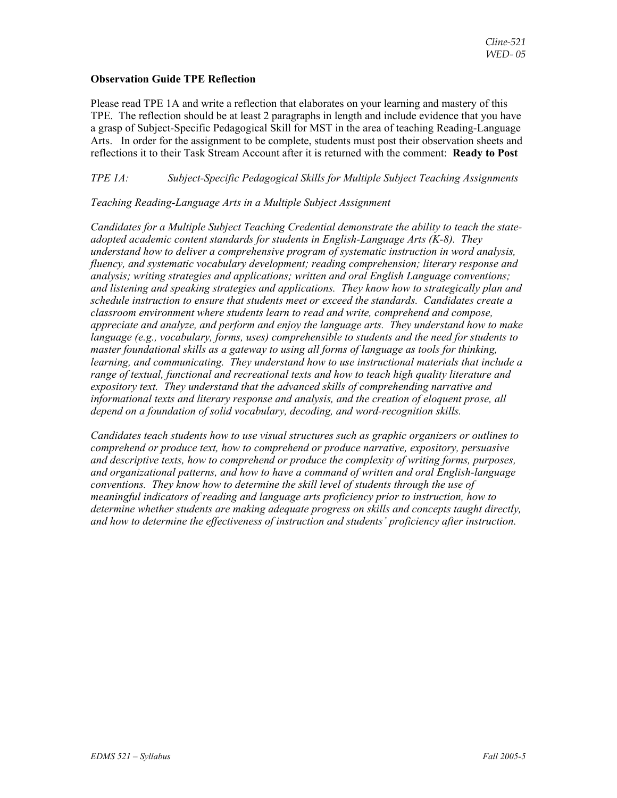## **Observation Guide TPE Reflection**

Please read TPE 1A and write a reflection that elaborates on your learning and mastery of this TPE. The reflection should be at least 2 paragraphs in length and include evidence that you have a grasp of Subject-Specific Pedagogical Skill for MST in the area of teaching Reading-Language Arts. In order for the assignment to be complete, students must post their observation sheets and reflections it to their Task Stream Account after it is returned with the comment: **Ready to Post**

## *TPE 1A: Subject-Specific Pedagogical Skills for Multiple Subject Teaching Assignments*

## *Teaching Reading-Language Arts in a Multiple Subject Assignment*

*Candidates for a Multiple Subject Teaching Credential demonstrate the ability to teach the stateadopted academic content standards for students in English-Language Arts (K-8). They understand how to deliver a comprehensive program of systematic instruction in word analysis, fluency, and systematic vocabulary development; reading comprehension; literary response and analysis; writing strategies and applications; written and oral English Language conventions; and listening and speaking strategies and applications. They know how to strategically plan and schedule instruction to ensure that students meet or exceed the standards. Candidates create a classroom environment where students learn to read and write, comprehend and compose, appreciate and analyze, and perform and enjoy the language arts. They understand how to make language (e.g., vocabulary, forms, uses) comprehensible to students and the need for students to master foundational skills as a gateway to using all forms of language as tools for thinking, learning, and communicating. They understand how to use instructional materials that include a range of textual, functional and recreational texts and how to teach high quality literature and expository text. They understand that the advanced skills of comprehending narrative and informational texts and literary response and analysis, and the creation of eloquent prose, all depend on a foundation of solid vocabulary, decoding, and word-recognition skills.* 

*Candidates teach students how to use visual structures such as graphic organizers or outlines to comprehend or produce text, how to comprehend or produce narrative, expository, persuasive and descriptive texts, how to comprehend or produce the complexity of writing forms, purposes, and organizational patterns, and how to have a command of written and oral English-language conventions. They know how to determine the skill level of students through the use of meaningful indicators of reading and language arts proficiency prior to instruction, how to determine whether students are making adequate progress on skills and concepts taught directly, and how to determine the effectiveness of instruction and students' proficiency after instruction.*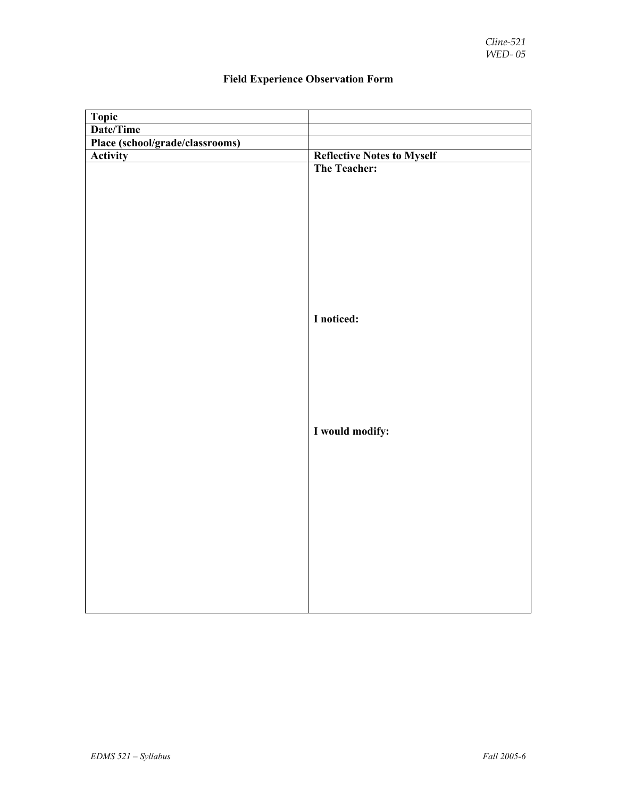| Topic                           |                                                   |
|---------------------------------|---------------------------------------------------|
| Date/Time                       |                                                   |
| Place (school/grade/classrooms) |                                                   |
| <b>Activity</b>                 |                                                   |
|                                 | <b>Reflective Notes to Myself</b><br>The Teacher: |
|                                 |                                                   |
|                                 |                                                   |
|                                 |                                                   |
|                                 |                                                   |
|                                 |                                                   |
|                                 |                                                   |
|                                 |                                                   |
|                                 |                                                   |
|                                 |                                                   |
|                                 |                                                   |
|                                 | I noticed:                                        |
|                                 |                                                   |
|                                 |                                                   |
|                                 |                                                   |
|                                 |                                                   |
|                                 |                                                   |
|                                 |                                                   |
|                                 |                                                   |
|                                 | I would modify:                                   |
|                                 |                                                   |
|                                 |                                                   |
|                                 |                                                   |
|                                 |                                                   |
|                                 |                                                   |
|                                 |                                                   |
|                                 |                                                   |
|                                 |                                                   |
|                                 |                                                   |
|                                 |                                                   |
|                                 |                                                   |
|                                 |                                                   |
|                                 |                                                   |

# **Field Experience Observation Form**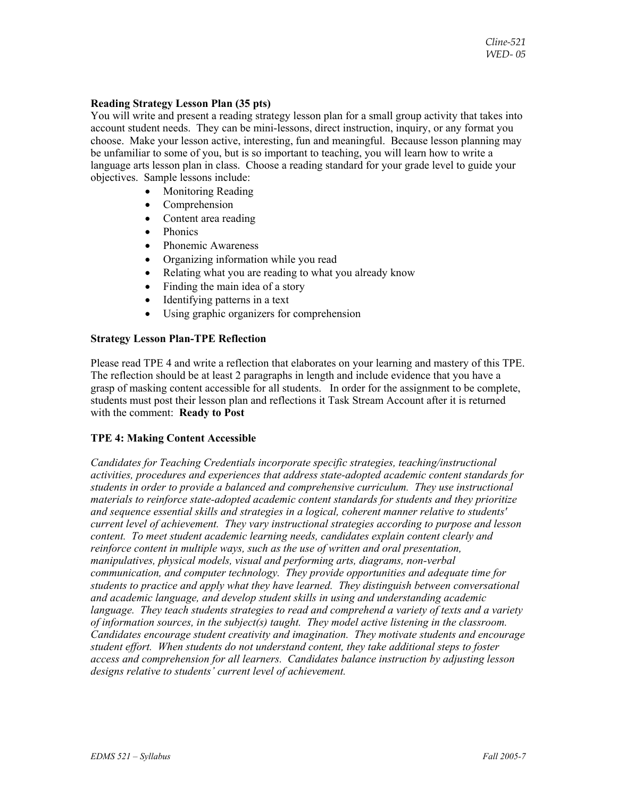## **Reading Strategy Lesson Plan (35 pts)**

You will write and present a reading strategy lesson plan for a small group activity that takes into account student needs. They can be mini-lessons, direct instruction, inquiry, or any format you choose. Make your lesson active, interesting, fun and meaningful. Because lesson planning may be unfamiliar to some of you, but is so important to teaching, you will learn how to write a language arts lesson plan in class. Choose a reading standard for your grade level to guide your objectives. Sample lessons include:

- Monitoring Reading
- Comprehension
- Content area reading
- Phonics
- Phonemic Awareness
- Organizing information while you read
- Relating what you are reading to what you already know
- Finding the main idea of a story
- Identifying patterns in a text
- Using graphic organizers for comprehension

## **Strategy Lesson Plan-TPE Reflection**

Please read TPE 4 and write a reflection that elaborates on your learning and mastery of this TPE. The reflection should be at least 2 paragraphs in length and include evidence that you have a grasp of masking content accessible for all students. In order for the assignment to be complete, students must post their lesson plan and reflections it Task Stream Account after it is returned with the comment: **Ready to Post**

## **TPE 4: Making Content Accessible**

*Candidates for Teaching Credentials incorporate specific strategies, teaching/instructional activities, procedures and experiences that address state-adopted academic content standards for students in order to provide a balanced and comprehensive curriculum. They use instructional materials to reinforce state-adopted academic content standards for students and they prioritize and sequence essential skills and strategies in a logical, coherent manner relative to students' current level of achievement. They vary instructional strategies according to purpose and lesson content. To meet student academic learning needs, candidates explain content clearly and reinforce content in multiple ways, such as the use of written and oral presentation, manipulatives, physical models, visual and performing arts, diagrams, non-verbal communication, and computer technology. They provide opportunities and adequate time for students to practice and apply what they have learned. They distinguish between conversational and academic language, and develop student skills in using and understanding academic language. They teach students strategies to read and comprehend a variety of texts and a variety of information sources, in the subject(s) taught. They model active listening in the classroom. Candidates encourage student creativity and imagination. They motivate students and encourage student effort. When students do not understand content, they take additional steps to foster access and comprehension for all learners. Candidates balance instruction by adjusting lesson designs relative to students' current level of achievement.*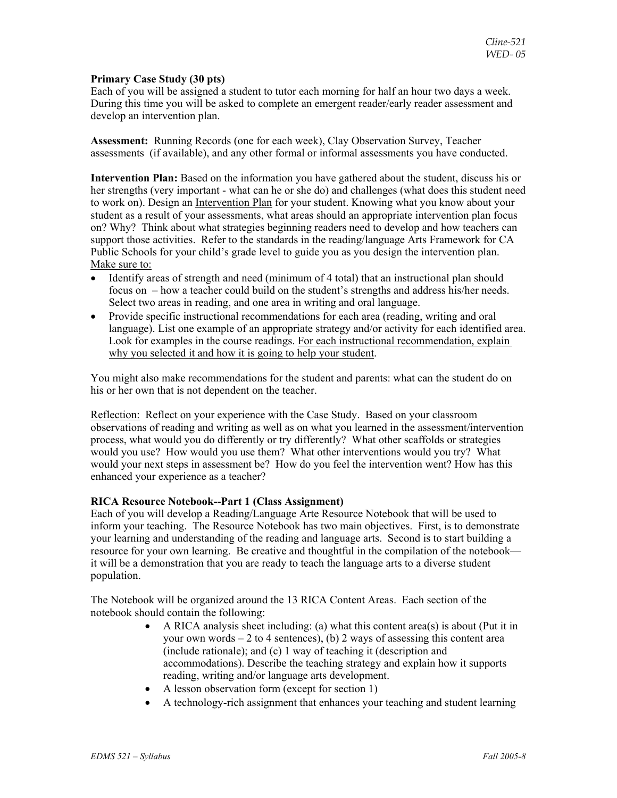## **Primary Case Study (30 pts)**

Each of you will be assigned a student to tutor each morning for half an hour two days a week. During this time you will be asked to complete an emergent reader/early reader assessment and develop an intervention plan.

**Assessment:** Running Records (one for each week), Clay Observation Survey, Teacher assessments (if available), and any other formal or informal assessments you have conducted.

**Intervention Plan:** Based on the information you have gathered about the student, discuss his or her strengths (very important - what can he or she do) and challenges (what does this student need to work on). Design an Intervention Plan for your student. Knowing what you know about your student as a result of your assessments, what areas should an appropriate intervention plan focus on? Why? Think about what strategies beginning readers need to develop and how teachers can support those activities. Refer to the standards in the reading/language Arts Framework for CA Public Schools for your child's grade level to guide you as you design the intervention plan. Make sure to:

- Identify areas of strength and need (minimum of 4 total) that an instructional plan should focus on – how a teacher could build on the student's strengths and address his/her needs. Select two areas in reading, and one area in writing and oral language.
- Provide specific instructional recommendations for each area (reading, writing and oral language). List one example of an appropriate strategy and/or activity for each identified area. Look for examples in the course readings. For each instructional recommendation, explain why you selected it and how it is going to help your student.

You might also make recommendations for the student and parents: what can the student do on his or her own that is not dependent on the teacher.

Reflection: Reflect on your experience with the Case Study. Based on your classroom observations of reading and writing as well as on what you learned in the assessment/intervention process, what would you do differently or try differently? What other scaffolds or strategies would you use? How would you use them? What other interventions would you try? What would your next steps in assessment be? How do you feel the intervention went? How has this enhanced your experience as a teacher?

## **RICA Resource Notebook--Part 1 (Class Assignment)**

Each of you will develop a Reading/Language Arte Resource Notebook that will be used to inform your teaching. The Resource Notebook has two main objectives. First, is to demonstrate your learning and understanding of the reading and language arts. Second is to start building a resource for your own learning. Be creative and thoughtful in the compilation of the notebook it will be a demonstration that you are ready to teach the language arts to a diverse student population.

The Notebook will be organized around the 13 RICA Content Areas. Each section of the notebook should contain the following:

- A RICA analysis sheet including: (a) what this content area(s) is about (Put it in your own words  $-2$  to 4 sentences), (b) 2 ways of assessing this content area (include rationale); and (c) 1 way of teaching it (description and accommodations). Describe the teaching strategy and explain how it supports reading, writing and/or language arts development.
- A lesson observation form (except for section 1)
- A technology-rich assignment that enhances your teaching and student learning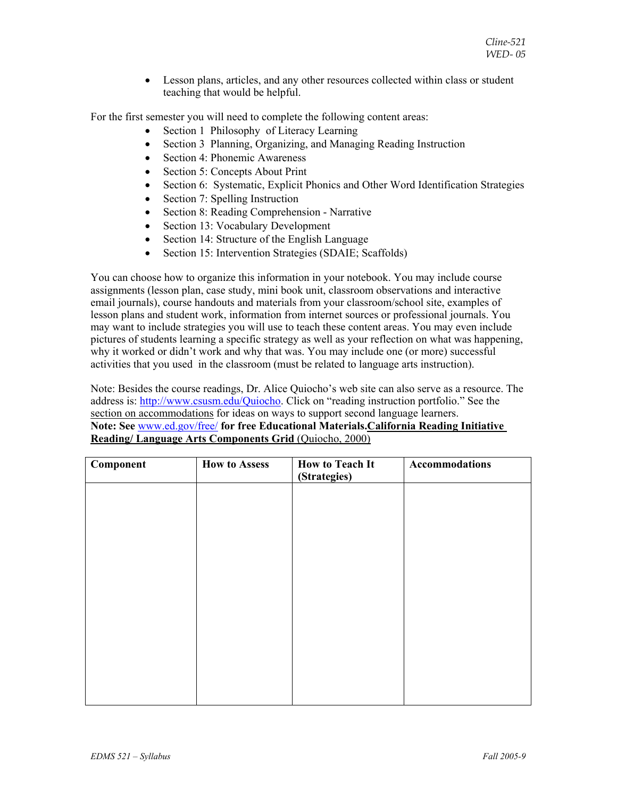• Lesson plans, articles, and any other resources collected within class or student teaching that would be helpful.

For the first semester you will need to complete the following content areas:

- Section 1 Philosophy of Literacy Learning
- Section 3 Planning, Organizing, and Managing Reading Instruction
- Section 4: Phonemic Awareness
- Section 5: Concepts About Print
- Section 6: Systematic, Explicit Phonics and Other Word Identification Strategies
- Section 7: Spelling Instruction
- Section 8: Reading Comprehension Narrative
- Section 13: Vocabulary Development
- Section 14: Structure of the English Language
- Section 15: Intervention Strategies (SDAIE; Scaffolds)

You can choose how to organize this information in your notebook. You may include course assignments (lesson plan, case study, mini book unit, classroom observations and interactive email journals), course handouts and materials from your classroom/school site, examples of lesson plans and student work, information from internet sources or professional journals. You may want to include strategies you will use to teach these content areas. You may even include pictures of students learning a specific strategy as well as your reflection on what was happening, why it worked or didn't work and why that was. You may include one (or more) successful activities that you used in the classroom (must be related to language arts instruction).

Note: Besides the course readings, Dr. Alice Quiocho's web site can also serve as a resource. The address is: http://www.csusm.edu/Quiocho. Click on "reading instruction portfolio." See the section on accommodations for ideas on ways to support second language learners. **Note: See** www.ed.gov/free/ **for free Educational Materials.California Reading Initiative Reading/ Language Arts Components Grid** (Quiocho, 2000)

| <b>How to Assess</b> | <b>How to Teach It</b><br>(Strategies) | Accommodations |
|----------------------|----------------------------------------|----------------|
|                      |                                        |                |
|                      |                                        |                |
|                      |                                        |                |
|                      |                                        |                |
|                      |                                        |                |
|                      |                                        |                |
|                      |                                        |                |
|                      |                                        |                |
|                      |                                        |                |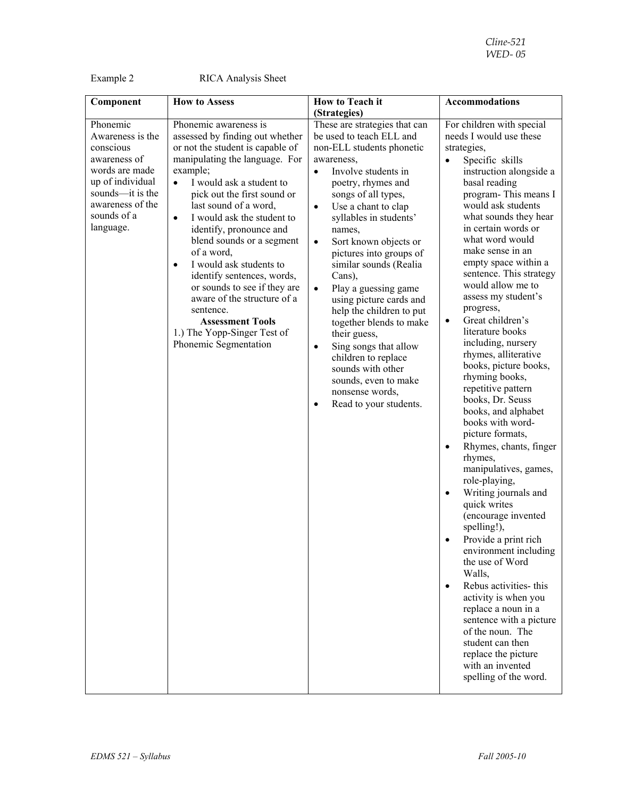Example 2 RICA Analysis Sheet

| Component                                                                                                                                                           | <b>How to Assess</b>                                                                                                                                                                                                                                                                                                                                                                                                                                                                                                                                                                              | <b>How to Teach it</b>                                                                                                                                                                                                                                                                                                                                                                                                                                                                                                                                                                                                                                                | <b>Accommodations</b>                                                                                                                                                                                                                                                                                                                                                                                                                                                                                                                                                                                                                                                                                                                                                                                                                                                                                                                                                                                                                                                                                                           |
|---------------------------------------------------------------------------------------------------------------------------------------------------------------------|---------------------------------------------------------------------------------------------------------------------------------------------------------------------------------------------------------------------------------------------------------------------------------------------------------------------------------------------------------------------------------------------------------------------------------------------------------------------------------------------------------------------------------------------------------------------------------------------------|-----------------------------------------------------------------------------------------------------------------------------------------------------------------------------------------------------------------------------------------------------------------------------------------------------------------------------------------------------------------------------------------------------------------------------------------------------------------------------------------------------------------------------------------------------------------------------------------------------------------------------------------------------------------------|---------------------------------------------------------------------------------------------------------------------------------------------------------------------------------------------------------------------------------------------------------------------------------------------------------------------------------------------------------------------------------------------------------------------------------------------------------------------------------------------------------------------------------------------------------------------------------------------------------------------------------------------------------------------------------------------------------------------------------------------------------------------------------------------------------------------------------------------------------------------------------------------------------------------------------------------------------------------------------------------------------------------------------------------------------------------------------------------------------------------------------|
|                                                                                                                                                                     |                                                                                                                                                                                                                                                                                                                                                                                                                                                                                                                                                                                                   | (Strategies)                                                                                                                                                                                                                                                                                                                                                                                                                                                                                                                                                                                                                                                          |                                                                                                                                                                                                                                                                                                                                                                                                                                                                                                                                                                                                                                                                                                                                                                                                                                                                                                                                                                                                                                                                                                                                 |
| Phonemic<br>Awareness is the<br>conscious<br>awareness of<br>words are made<br>up of individual<br>sounds-it is the<br>awareness of the<br>sounds of a<br>language. | Phonemic awareness is<br>assessed by finding out whether<br>or not the student is capable of<br>manipulating the language. For<br>example;<br>I would ask a student to<br>$\bullet$<br>pick out the first sound or<br>last sound of a word,<br>I would ask the student to<br>$\bullet$<br>identify, pronounce and<br>blend sounds or a segment<br>of a word,<br>I would ask students to<br>$\bullet$<br>identify sentences, words,<br>or sounds to see if they are<br>aware of the structure of a<br>sentence.<br><b>Assessment Tools</b><br>1.) The Yopp-Singer Test of<br>Phonemic Segmentation | These are strategies that can<br>be used to teach ELL and<br>non-ELL students phonetic<br>awareness,<br>Involve students in<br>$\bullet$<br>poetry, rhymes and<br>songs of all types,<br>Use a chant to clap<br>$\bullet$<br>syllables in students'<br>names,<br>Sort known objects or<br>$\bullet$<br>pictures into groups of<br>similar sounds (Realia<br>Cans),<br>Play a guessing game<br>$\bullet$<br>using picture cards and<br>help the children to put<br>together blends to make<br>their guess,<br>Sing songs that allow<br>$\bullet$<br>children to replace<br>sounds with other<br>sounds, even to make<br>nonsense words,<br>Read to your students.<br>٠ | For children with special<br>needs I would use these<br>strategies,<br>Specific skills<br>instruction alongside a<br>basal reading<br>program-This means I<br>would ask students<br>what sounds they hear<br>in certain words or<br>what word would<br>make sense in an<br>empty space within a<br>sentence. This strategy<br>would allow me to<br>assess my student's<br>progress,<br>Great children's<br>$\bullet$<br>literature books<br>including, nursery<br>rhymes, alliterative<br>books, picture books,<br>rhyming books,<br>repetitive pattern<br>books, Dr. Seuss<br>books, and alphabet<br>books with word-<br>picture formats,<br>Rhymes, chants, finger<br>$\bullet$<br>rhymes,<br>manipulatives, games,<br>role-playing,<br>Writing journals and<br>quick writes<br>(encourage invented<br>spelling!),<br>Provide a print rich<br>environment including<br>the use of Word<br>Walls,<br>Rebus activities- this<br>$\bullet$<br>activity is when you<br>replace a noun in a<br>sentence with a picture<br>of the noun. The<br>student can then<br>replace the picture<br>with an invented<br>spelling of the word. |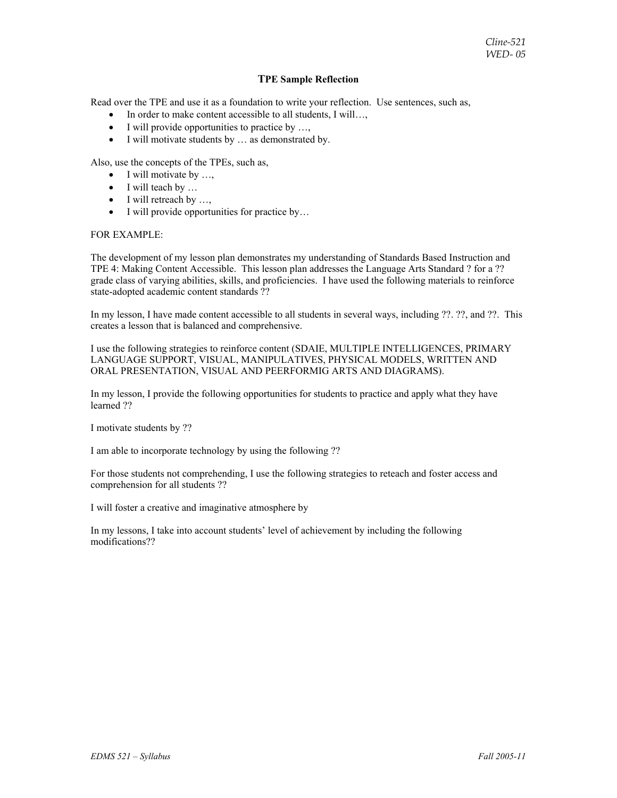#### **TPE Sample Reflection**

Read over the TPE and use it as a foundation to write your reflection. Use sentences, such as,

- In order to make content accessible to all students, I will…,
- I will provide opportunities to practice by ...,
- I will motivate students by ... as demonstrated by.

Also, use the concepts of the TPEs, such as,

- $\bullet$  I will motivate by ...,
- I will teach by ...
- $\bullet$  I will retreach by ...,
- I will provide opportunities for practice by...

#### FOR EXAMPLE:

The development of my lesson plan demonstrates my understanding of Standards Based Instruction and TPE 4: Making Content Accessible. This lesson plan addresses the Language Arts Standard ? for a ?? grade class of varying abilities, skills, and proficiencies. I have used the following materials to reinforce state-adopted academic content standards ??

In my lesson, I have made content accessible to all students in several ways, including ??. ??, and ??. This creates a lesson that is balanced and comprehensive.

I use the following strategies to reinforce content (SDAIE, MULTIPLE INTELLIGENCES, PRIMARY LANGUAGE SUPPORT, VISUAL, MANIPULATIVES, PHYSICAL MODELS, WRITTEN AND ORAL PRESENTATION, VISUAL AND PEERFORMIG ARTS AND DIAGRAMS).

In my lesson, I provide the following opportunities for students to practice and apply what they have learned ??

I motivate students by ??

I am able to incorporate technology by using the following ??

For those students not comprehending, I use the following strategies to reteach and foster access and comprehension for all students ??

I will foster a creative and imaginative atmosphere by

In my lessons, I take into account students' level of achievement by including the following modifications??